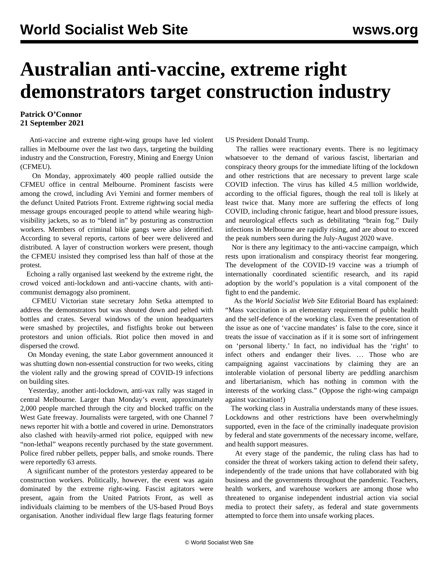## **Australian anti-vaccine, extreme right demonstrators target construction industry**

## **Patrick O'Connor 21 September 2021**

 Anti-vaccine and extreme right-wing groups have led violent rallies in Melbourne over the last two days, targeting the building industry and the Construction, Forestry, Mining and Energy Union (CFMEU).

 On Monday, approximately 400 people rallied outside the CFMEU office in central Melbourne. Prominent fascists were among the crowd, including Avi Yemini and former members of the defunct United Patriots Front. Extreme rightwing social media message groups encouraged people to attend while wearing highvisibility jackets, so as to "blend in" by posturing as construction workers. Members of criminal bikie gangs were also identified. According to several reports, cartons of beer were delivered and distributed. A layer of construction workers were present, though the CFMEU insisted they comprised less than half of those at the protest.

 Echoing a rally organised last weekend by the extreme right, the crowd voiced anti-lockdown and anti-vaccine chants, with anticommunist demagogy also prominent.

 CFMEU Victorian state secretary John Setka attempted to address the demonstrators but was shouted down and pelted with bottles and crates. Several windows of the union headquarters were smashed by projectiles, and fistfights broke out between protestors and union officials. Riot police then moved in and dispersed the crowd.

 On Monday evening, the state Labor government announced it was shutting down non-essential construction for two weeks, citing the violent rally and the growing spread of COVID-19 infections on building sites.

 Yesterday, another anti-lockdown, anti-vax rally was staged in central Melbourne. Larger than Monday's event, approximately 2,000 people marched through the city and blocked traffic on the West Gate freeway. Journalists were targeted, with one Channel 7 news reporter hit with a bottle and covered in urine. Demonstrators also clashed with heavily-armed riot police, equipped with new "non-lethal" weapons recently purchased by the state government. Police fired rubber pellets, pepper balls, and smoke rounds. There were reportedly 63 arrests.

 A significant number of the protestors yesterday appeared to be construction workers. Politically, however, the event was again dominated by the extreme right-wing. Fascist agitators were present, again from the United Patriots Front, as well as individuals claiming to be members of the US-based Proud Boys organisation. Another individual flew large flags featuring former US President Donald Trump.

 The rallies were reactionary events. There is no legitimacy whatsoever to the demand of various fascist, libertarian and conspiracy theory groups for the immediate lifting of the lockdown and other restrictions that are necessary to prevent large scale COVID infection. The virus has killed 4.5 million worldwide, according to the official figures, though the real toll is likely at least twice that. Many more are suffering the effects of long COVID, including chronic fatigue, heart and blood pressure issues, and neurological effects such as debilitating "brain fog." Daily infections in Melbourne are rapidly rising, and are about to exceed the peak numbers seen during the July-August 2020 wave.

 Nor is there any legitimacy to the anti-vaccine campaign, which rests upon irrationalism and conspiracy theorist fear mongering. The development of the COVID-19 vaccine was a triumph of internationally coordinated scientific research, and its rapid adoption by the world's population is a vital component of the fight to end the pandemic.

 As the *World Socialist Web Site* Editorial Board has explained: "Mass vaccination is an elementary requirement of public health and the self-defence of the working class. Even the presentation of the issue as one of 'vaccine mandates' is false to the core, since it treats the issue of vaccination as if it is some sort of infringement on 'personal liberty.' In fact, no individual has the 'right' to infect others and endanger their lives. … Those who are campaigning against vaccinations by claiming they are an intolerable violation of personal liberty are peddling anarchism and libertarianism, which has nothing in common with the interests of the working class." [\(Oppose the right-wing campaign](/en/articles/2021/07/29/pers-j29.html) [against vaccination!\)](/en/articles/2021/07/29/pers-j29.html)

 The working class in Australia understands many of these issues. Lockdowns and other restrictions have been overwhelmingly supported, even in the face of the criminally inadequate provision by federal and state governments of the necessary income, welfare, and health support measures.

 At every stage of the pandemic, the ruling class has had to consider the threat of workers taking action to defend their safety, independently of the trade unions that have collaborated with big business and the governments throughout the pandemic. Teachers, health workers, and warehouse workers are among those who threatened to organise independent industrial action via social media to protect their safety, as federal and state governments attempted to force them into unsafe working places.